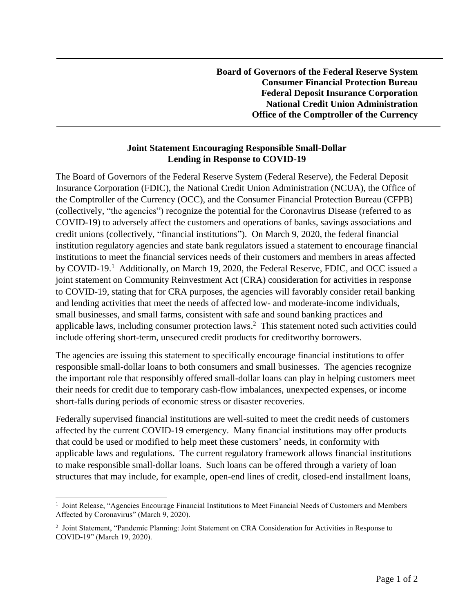## **Joint Statement Encouraging Responsible Small-Dollar Lending in Response to COVID-19**

The Board of Governors of the Federal Reserve System (Federal Reserve), the Federal Deposit Insurance Corporation (FDIC), the National Credit Union Administration (NCUA), the Office of the Comptroller of the Currency (OCC), and the Consumer Financial Protection Bureau (CFPB) (collectively, "the agencies") recognize the potential for the Coronavirus Disease (referred to as COVID-19) to adversely affect the customers and operations of banks, savings associations and credit unions (collectively, "financial institutions"). On March 9, 2020, the federal financial institution regulatory agencies and state bank regulators issued a statement to encourage financial institutions to meet the financial services needs of their customers and members in areas affected by COVID-19.<sup>1</sup> Additionally, on March 19, 2020, the Federal Reserve, FDIC, and OCC issued a joint statement on Community Reinvestment Act (CRA) consideration for activities in response to COVID-19, stating that for CRA purposes, the agencies will favorably consider retail banking and lending activities that meet the needs of affected low- and moderate-income individuals, small businesses, and small farms, consistent with safe and sound banking practices and applicable laws, including consumer protection laws. <sup>2</sup> This statement noted such activities could include offering short-term, unsecured credit products for creditworthy borrowers.

The agencies are issuing this statement to specifically encourage financial institutions to offer responsible small-dollar loans to both consumers and small businesses. The agencies recognize the important role that responsibly offered small-dollar loans can play in helping customers meet their needs for credit due to temporary cash-flow imbalances, unexpected expenses, or income short-falls during periods of economic stress or disaster recoveries.

Federally supervised financial institutions are well-suited to meet the credit needs of customers affected by the current COVID-19 emergency. Many financial institutions may offer products that could be used or modified to help meet these customers' needs, in conformity with applicable laws and regulations. The current regulatory framework allows financial institutions to make responsible small-dollar loans. Such loans can be offered through a variety of loan structures that may include, for example, open-end lines of credit, closed-end installment loans,

 $\overline{a}$ <sup>1</sup> Joint Release, "Agencies Encourage Financial Institutions to Meet Financial Needs of Customers and Members Affected by Coronavirus" (March 9, 2020).

<sup>&</sup>lt;sup>2</sup> Joint Statement, "Pandemic Planning: Joint Statement on CRA Consideration for Activities in Response to COVID-19" (March 19, 2020).